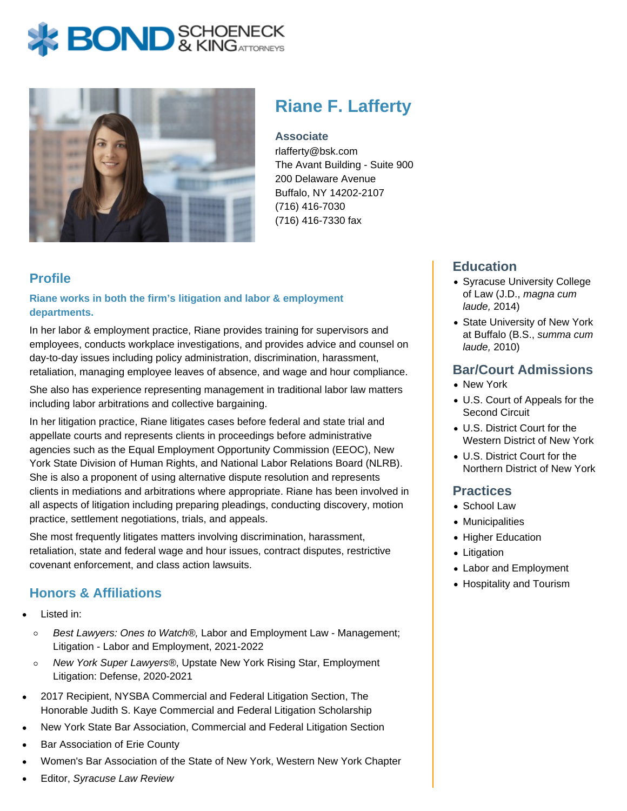# **BOND** & KING ATTORNECK



# **Riane F. Lafferty**

**Associate**

rlafferty@bsk.com The Avant Building - Suite 900 200 Delaware Avenue Buffalo, NY 14202-2107 (716) 416-7030 (716) 416-7330 fax

# **Profile**

#### **Riane works in both the firm's litigation and labor & employment departments.**

In her labor & employment practice, Riane provides training for supervisors and employees, conducts workplace investigations, and provides advice and counsel on day-to-day issues including policy administration, discrimination, harassment, retaliation, managing employee leaves of absence, and wage and hour compliance.

She also has experience representing management in traditional labor law matters including labor arbitrations and collective bargaining.

In her litigation practice, Riane litigates cases before federal and state trial and appellate courts and represents clients in proceedings before administrative agencies such as the Equal Employment Opportunity Commission (EEOC), New York State Division of Human Rights, and National Labor Relations Board (NLRB). She is also a proponent of using alternative dispute resolution and represents clients in mediations and arbitrations where appropriate. Riane has been involved in all aspects of litigation including preparing pleadings, conducting discovery, motion practice, settlement negotiations, trials, and appeals.

She most frequently litigates matters involving discrimination, harassment, retaliation, state and federal wage and hour issues, contract disputes, restrictive covenant enforcement, and class action lawsuits.

# **Honors & Affiliations**

- Listed in:
	- Best Lawyers: Ones to Watch®, Labor and Employment Law Management;  $\circ$ Litigation - Labor and Employment, 2021-2022
	- $\circ$ New York Super Lawyers®, Upstate New York Rising Star, Employment Litigation: Defense, 2020-2021
- 2017 Recipient, NYSBA Commercial and Federal Litigation Section, The Honorable Judith S. Kaye Commercial and Federal Litigation Scholarship
- New York State Bar Association, Commercial and Federal Litigation Section
- Bar Association of Erie County
- Women's Bar Association of the State of New York, Western New York Chapter
- Editor, Syracuse Law Review

# **Education**

- Syracuse University College of Law (J.D., magna cum laude, 2014)
- State University of New York at Buffalo (B.S., summa cum laude, 2010)

#### **Bar/Court Admissions**

- New York
- U.S. Court of Appeals for the Second Circuit
- U.S. District Court for the Western District of New York
- U.S. District Court for the Northern District of New York

#### **Practices**

- School Law
- Municipalities
- Higher Education
- Litigation
- Labor and Employment
- Hospitality and Tourism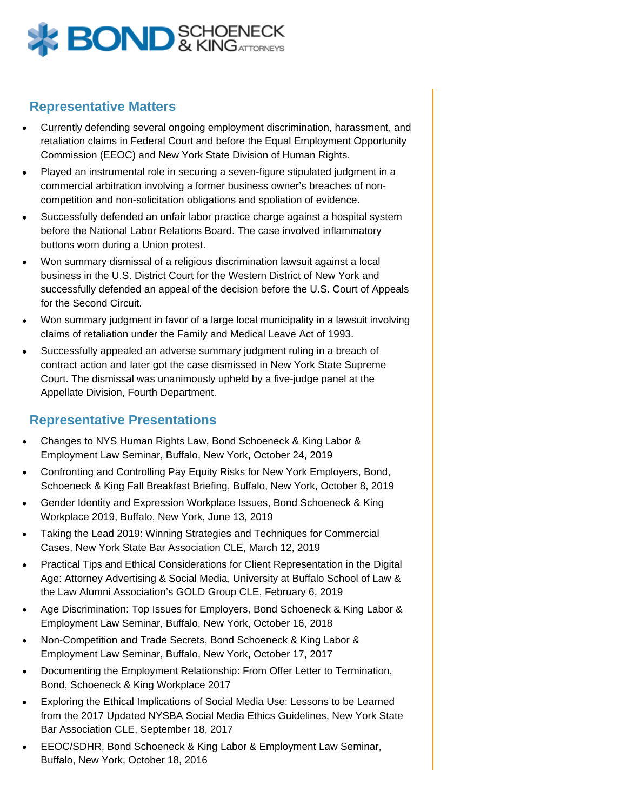

#### **Representative Matters**

- Currently defending several ongoing employment discrimination, harassment, and retaliation claims in Federal Court and before the Equal Employment Opportunity Commission (EEOC) and New York State Division of Human Rights.
- Played an instrumental role in securing a seven-figure stipulated judgment in a commercial arbitration involving a former business owner's breaches of noncompetition and non-solicitation obligations and spoliation of evidence.
- Successfully defended an unfair labor practice charge against a hospital system before the National Labor Relations Board. The case involved inflammatory buttons worn during a Union protest.
- Won summary dismissal of a religious discrimination lawsuit against a local business in the U.S. District Court for the Western District of New York and successfully defended an appeal of the decision before the U.S. Court of Appeals for the Second Circuit.
- Won summary judgment in favor of a large local municipality in a lawsuit involving claims of retaliation under the Family and Medical Leave Act of 1993.
- Successfully appealed an adverse summary judgment ruling in a breach of contract action and later got the case dismissed in New York State Supreme Court. The dismissal was unanimously upheld by a five-judge panel at the Appellate Division, Fourth Department.

#### **Representative Presentations**

- Changes to NYS Human Rights Law, Bond Schoeneck & King Labor & Employment Law Seminar, Buffalo, New York, October 24, 2019
- Confronting and Controlling Pay Equity Risks for New York Employers, Bond, Schoeneck & King Fall Breakfast Briefing, Buffalo, New York, October 8, 2019
- Gender Identity and Expression Workplace Issues, Bond Schoeneck & King Workplace 2019, Buffalo, New York, June 13, 2019
- Taking the Lead 2019: Winning Strategies and Techniques for Commercial Cases, New York State Bar Association CLE, March 12, 2019
- Practical Tips and Ethical Considerations for Client Representation in the Digital Age: Attorney Advertising & Social Media, University at Buffalo School of Law & the Law Alumni Association's GOLD Group CLE, February 6, 2019
- Age Discrimination: Top Issues for Employers, Bond Schoeneck & King Labor & Employment Law Seminar, Buffalo, New York, October 16, 2018
- Non-Competition and Trade Secrets, Bond Schoeneck & King Labor & Employment Law Seminar, Buffalo, New York, October 17, 2017
- Documenting the Employment Relationship: From Offer Letter to Termination, Bond, Schoeneck & King Workplace 2017
- Exploring the Ethical Implications of Social Media Use: Lessons to be Learned from the 2017 Updated NYSBA Social Media Ethics Guidelines, New York State Bar Association CLE, September 18, 2017
- EEOC/SDHR, Bond Schoeneck & King Labor & Employment Law Seminar, Buffalo, New York, October 18, 2016